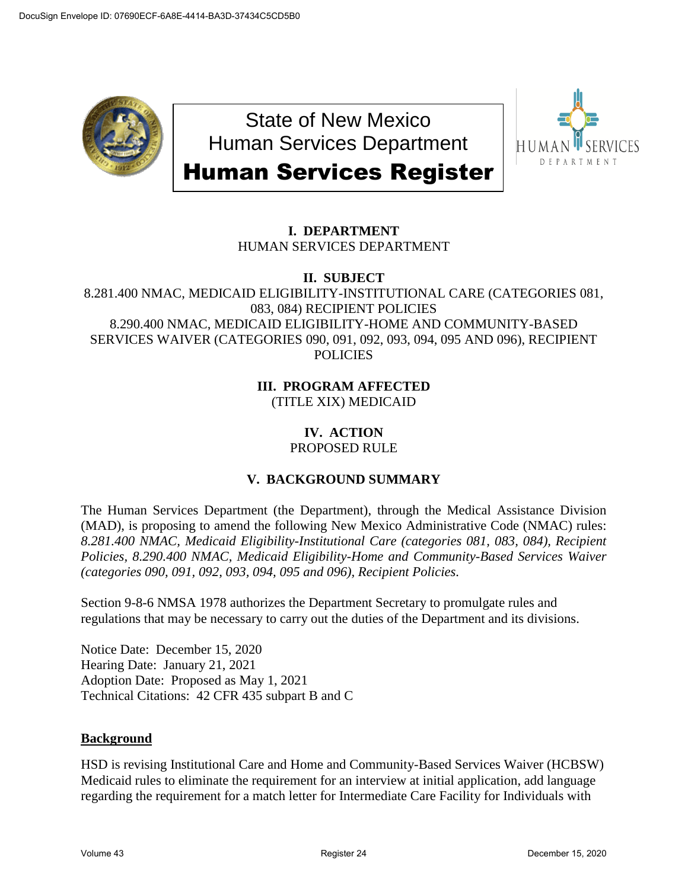

State of New Mexico Human Services Department Human Services Register



# **I. DEPARTMENT** HUMAN SERVICES DEPARTMENT

**II. SUBJECT**

### 8.281.400 NMAC, MEDICAID ELIGIBILITY-INSTITUTIONAL CARE (CATEGORIES 081, 083, 084) RECIPIENT POLICIES 8.290.400 NMAC, MEDICAID ELIGIBILITY-HOME AND COMMUNITY-BASED SERVICES WAIVER (CATEGORIES 090, 091, 092, 093, 094, 095 AND 096), RECIPIENT POLICIES

**III. PROGRAM AFFECTED** (TITLE XIX) MEDICAID

# **IV. ACTION** PROPOSED RULE

# **V. BACKGROUND SUMMARY**

The Human Services Department (the Department), through the Medical Assistance Division (MAD), is proposing to amend the following New Mexico Administrative Code (NMAC) rules: *8.281.400 NMAC, Medicaid Eligibility-Institutional Care (categories 081, 083, 084), Recipient Policies, 8.290.400 NMAC, Medicaid Eligibility-Home and Community-Based Services Waiver (categories 090, 091, 092, 093, 094, 095 and 096), Recipient Policies.*

Section 9-8-6 NMSA 1978 authorizes the Department Secretary to promulgate rules and regulations that may be necessary to carry out the duties of the Department and its divisions.

Notice Date: December 15, 2020 Hearing Date: January 21, 2021 Adoption Date: Proposed as May 1, 2021 Technical Citations: 42 CFR 435 subpart B and C

# **Background**

HSD is revising Institutional Care and Home and Community-Based Services Waiver (HCBSW) Medicaid rules to eliminate the requirement for an interview at initial application, add language regarding the requirement for a match letter for Intermediate Care Facility for Individuals with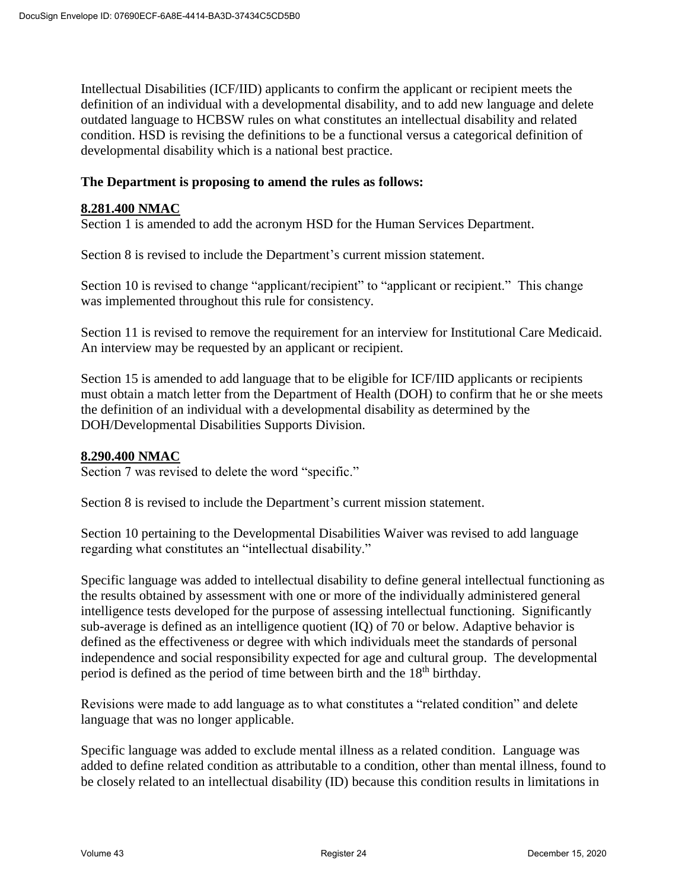Intellectual Disabilities (ICF/IID) applicants to confirm the applicant or recipient meets the definition of an individual with a developmental disability, and to add new language and delete outdated language to HCBSW rules on what constitutes an intellectual disability and related condition. HSD is revising the definitions to be a functional versus a categorical definition of developmental disability which is a national best practice.

#### **The Department is proposing to amend the rules as follows:**

#### **8.281.400 NMAC**

Section 1 is amended to add the acronym HSD for the Human Services Department.

Section 8 is revised to include the Department's current mission statement.

Section 10 is revised to change "applicant/recipient" to "applicant or recipient." This change was implemented throughout this rule for consistency.

Section 11 is revised to remove the requirement for an interview for Institutional Care Medicaid. An interview may be requested by an applicant or recipient.

Section 15 is amended to add language that to be eligible for ICF/IID applicants or recipients must obtain a match letter from the Department of Health (DOH) to confirm that he or she meets the definition of an individual with a developmental disability as determined by the DOH/Developmental Disabilities Supports Division.

#### **8.290.400 NMAC**

Section 7 was revised to delete the word "specific."

Section 8 is revised to include the Department's current mission statement.

Section 10 pertaining to the Developmental Disabilities Waiver was revised to add language regarding what constitutes an "intellectual disability."

Specific language was added to intellectual disability to define general intellectual functioning as the results obtained by assessment with one or more of the individually administered general intelligence tests developed for the purpose of assessing intellectual functioning. Significantly sub-average is defined as an intelligence quotient (IQ) of 70 or below. Adaptive behavior is defined as the effectiveness or degree with which individuals meet the standards of personal independence and social responsibility expected for age and cultural group. The developmental period is defined as the period of time between birth and the  $18<sup>th</sup>$  birthday.

Revisions were made to add language as to what constitutes a "related condition" and delete language that was no longer applicable.

Specific language was added to exclude mental illness as a related condition. Language was added to define related condition as attributable to a condition, other than mental illness, found to be closely related to an intellectual disability (ID) because this condition results in limitations in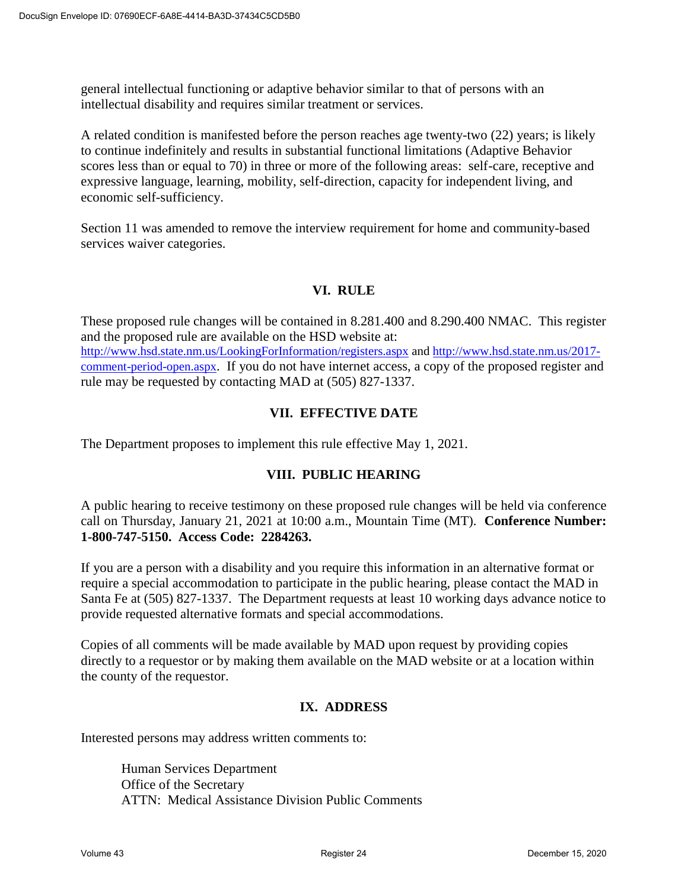general intellectual functioning or adaptive behavior similar to that of persons with an intellectual disability and requires similar treatment or services.

A related condition is manifested before the person reaches age twenty-two (22) years; is likely to continue indefinitely and results in substantial functional limitations (Adaptive Behavior scores less than or equal to 70) in three or more of the following areas: self-care, receptive and expressive language, learning, mobility, self-direction, capacity for independent living, and economic self-sufficiency.

Section 11 was amended to remove the interview requirement for home and community-based services waiver categories.

# **VI. RULE**

These proposed rule changes will be contained in 8.281.400 and 8.290.400 NMAC. This register and the proposed rule are available on the HSD website at: <http://www.hsd.state.nm.us/LookingForInformation/registers.aspx> and [http://www.hsd.state.nm.us/2017](http://www.hsd.state.nm.us/2017-comment-period-open.aspx) [comment-period-open.aspx](http://www.hsd.state.nm.us/2017-comment-period-open.aspx). If you do not have internet access, a copy of the proposed register and rule may be requested by contacting MAD at (505) 827-1337.

# **VII. EFFECTIVE DATE**

The Department proposes to implement this rule effective May 1, 2021.

### **VIII. PUBLIC HEARING**

A public hearing to receive testimony on these proposed rule changes will be held via conference call on Thursday, January 21, 2021 at 10:00 a.m., Mountain Time (MT). **Conference Number: 1-800-747-5150. Access Code: 2284263.**

If you are a person with a disability and you require this information in an alternative format or require a special accommodation to participate in the public hearing, please contact the MAD in Santa Fe at (505) 827-1337. The Department requests at least 10 working days advance notice to provide requested alternative formats and special accommodations.

Copies of all comments will be made available by MAD upon request by providing copies directly to a requestor or by making them available on the MAD website or at a location within the county of the requestor.

# **IX. ADDRESS**

Interested persons may address written comments to:

Human Services Department Office of the Secretary ATTN: Medical Assistance Division Public Comments